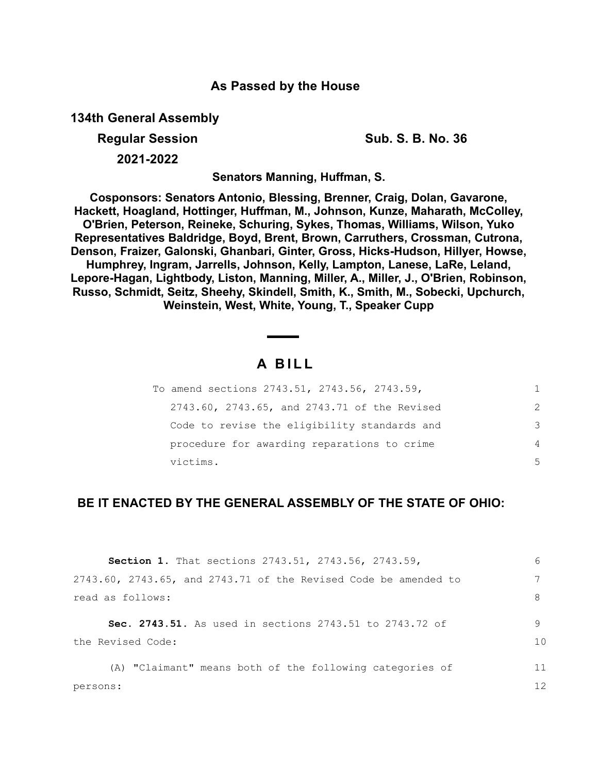### **As Passed by the House**

**134th General Assembly**

**Regular Session Sub. S. B. No. 36** 

**2021-2022**

**Senators Manning, Huffman, S.**

**Cosponsors: Senators Antonio, Blessing, Brenner, Craig, Dolan, Gavarone, Hackett, Hoagland, Hottinger, Huffman, M., Johnson, Kunze, Maharath, McColley, O'Brien, Peterson, Reineke, Schuring, Sykes, Thomas, Williams, Wilson, Yuko Representatives Baldridge, Boyd, Brent, Brown, Carruthers, Crossman, Cutrona, Denson, Fraizer, Galonski, Ghanbari, Ginter, Gross, Hicks-Hudson, Hillyer, Howse, Humphrey, Ingram, Jarrells, Johnson, Kelly, Lampton, Lanese, LaRe, Leland, Lepore-Hagan, Lightbody, Liston, Manning, Miller, A., Miller, J., O'Brien, Robinson, Russo, Schmidt, Seitz, Sheehy, Skindell, Smith, K., Smith, M., Sobecki, Upchurch, Weinstein, West, White, Young, T., Speaker Cupp**

# **A B I L L**

| To amend sections 2743.51, 2743.56, 2743.59, |               |
|----------------------------------------------|---------------|
| 2743.60, 2743.65, and 2743.71 of the Revised | $\mathcal{P}$ |
| Code to revise the eligibility standards and | 3             |
| procedure for awarding reparations to crime  | 4             |
| victims.                                     | 5             |

## **BE IT ENACTED BY THE GENERAL ASSEMBLY OF THE STATE OF OHIO:**

| <b>Section 1.</b> That sections 2743.51, 2743.56, 2743.59,              | 6              |
|-------------------------------------------------------------------------|----------------|
| $2743.60$ , $2743.65$ , and $2743.71$ of the Revised Code be amended to |                |
| read as follows:                                                        | 8              |
| Sec. 2743.51. As used in sections 2743.51 to 2743.72 of                 | 9              |
| the Revised Code:                                                       | 1 <sub>0</sub> |
| (A) "Claimant" means both of the following categories of                | 11             |
| persons:                                                                | 12             |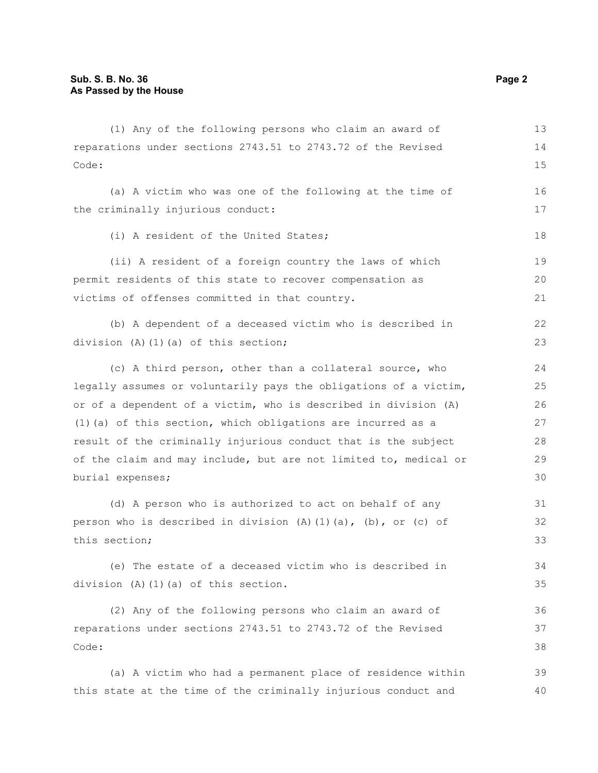| (1) Any of the following persons who claim an award of                      | 13 |
|-----------------------------------------------------------------------------|----|
| reparations under sections 2743.51 to 2743.72 of the Revised                | 14 |
| Code:                                                                       | 15 |
| (a) A victim who was one of the following at the time of                    | 16 |
| the criminally injurious conduct:                                           | 17 |
| (i) A resident of the United States;                                        | 18 |
| (ii) A resident of a foreign country the laws of which                      | 19 |
| permit residents of this state to recover compensation as                   | 20 |
| victims of offenses committed in that country.                              | 21 |
| (b) A dependent of a deceased victim who is described in                    | 22 |
| division (A) (1) (a) of this section;                                       | 23 |
| (c) A third person, other than a collateral source, who                     | 24 |
| legally assumes or voluntarily pays the obligations of a victim,            | 25 |
| or of a dependent of a victim, who is described in division (A)             | 26 |
| (1) (a) of this section, which obligations are incurred as a                | 27 |
| result of the criminally injurious conduct that is the subject              | 28 |
| of the claim and may include, but are not limited to, medical or            | 29 |
| burial expenses;                                                            | 30 |
| (d) A person who is authorized to act on behalf of any                      | 31 |
| person who is described in division $(A)$ $(1)$ $(a)$ , $(b)$ , or $(c)$ of | 32 |
| this section;                                                               | 33 |
| (e) The estate of a deceased victim who is described in                     | 34 |
| division (A) (1) (a) of this section.                                       | 35 |
| (2) Any of the following persons who claim an award of                      | 36 |
| reparations under sections 2743.51 to 2743.72 of the Revised                | 37 |
| Code:                                                                       | 38 |
| (a) A victim who had a permanent place of residence within                  | 39 |
| this state at the time of the criminally injurious conduct and              | 40 |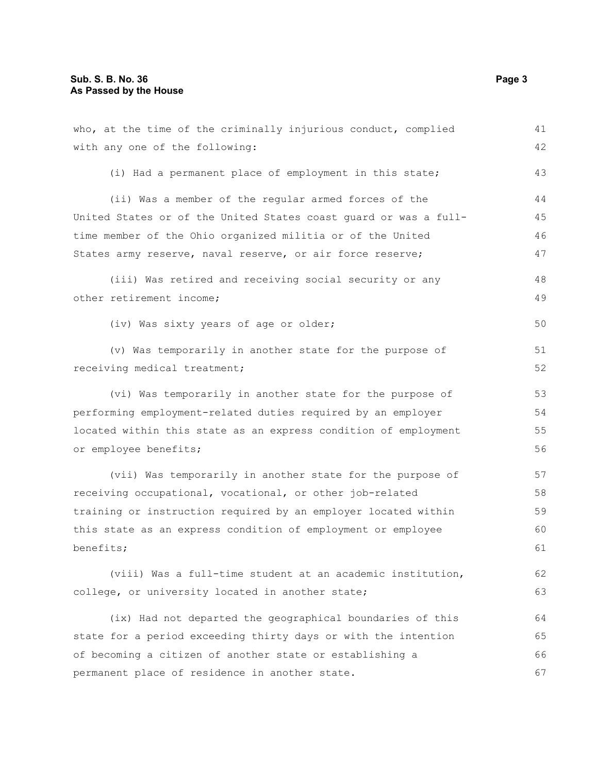| who, at the time of the criminally injurious conduct, complied   | 41 |
|------------------------------------------------------------------|----|
| with any one of the following:                                   | 42 |
|                                                                  |    |
| (i) Had a permanent place of employment in this state;           | 43 |
| (ii) Was a member of the regular armed forces of the             | 44 |
| United States or of the United States coast quard or was a full- | 45 |
| time member of the Ohio organized militia or of the United       | 46 |
| States army reserve, naval reserve, or air force reserve;        | 47 |
| (iii) Was retired and receiving social security or any           | 48 |
| other retirement income;                                         | 49 |
| (iv) Was sixty years of age or older;                            | 50 |
| (v) Was temporarily in another state for the purpose of          | 51 |
| receiving medical treatment;                                     | 52 |
| (vi) Was temporarily in another state for the purpose of         | 53 |
| performing employment-related duties required by an employer     | 54 |
| located within this state as an express condition of employment  | 55 |
| or employee benefits;                                            | 56 |
| (vii) Was temporarily in another state for the purpose of        | 57 |
| receiving occupational, vocational, or other job-related         | 58 |
| training or instruction required by an employer located within   | 59 |
| this state as an express condition of employment or employee     | 60 |
| benefits;                                                        | 61 |
| (viii) Was a full-time student at an academic institution,       | 62 |
| college, or university located in another state;                 | 63 |
| (ix) Had not departed the geographical boundaries of this        | 64 |
| state for a period exceeding thirty days or with the intention   | 65 |
| of becoming a citizen of another state or establishing a         | 66 |
| permanent place of residence in another state.                   | 67 |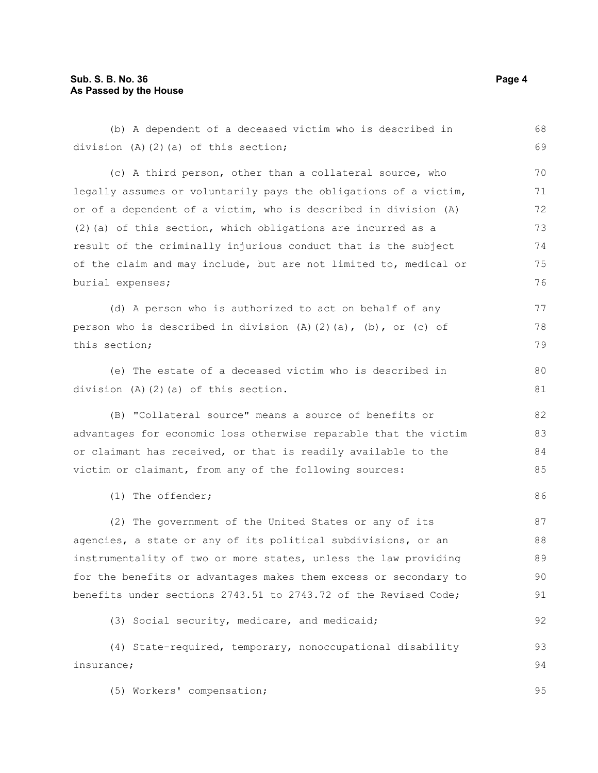## **Sub. S. B. No. 36** Page 4 **As Passed by the House**

| (b) A dependent of a deceased victim who is described in                    | 68 |
|-----------------------------------------------------------------------------|----|
| division (A)(2)(a) of this section;                                         | 69 |
| (c) A third person, other than a collateral source, who                     | 70 |
| legally assumes or voluntarily pays the obligations of a victim,            | 71 |
| or of a dependent of a victim, who is described in division (A)             | 72 |
| (2) (a) of this section, which obligations are incurred as a                | 73 |
| result of the criminally injurious conduct that is the subject              | 74 |
| of the claim and may include, but are not limited to, medical or            | 75 |
| burial expenses;                                                            | 76 |
| (d) A person who is authorized to act on behalf of any                      | 77 |
| person who is described in division $(A)$ $(2)$ $(a)$ , $(b)$ , or $(c)$ of | 78 |
| this section;                                                               | 79 |
| (e) The estate of a deceased victim who is described in                     | 80 |
| division (A)(2)(a) of this section.                                         | 81 |
| (B) "Collateral source" means a source of benefits or                       | 82 |
| advantages for economic loss otherwise reparable that the victim            | 83 |
| or claimant has received, or that is readily available to the               | 84 |
| victim or claimant, from any of the following sources:                      | 85 |
| (1) The offender;                                                           | 86 |
| (2) The government of the United States or any of its                       | 87 |
| agencies, a state or any of its political subdivisions, or an               | 88 |
| instrumentality of two or more states, unless the law providing             | 89 |
| for the benefits or advantages makes them excess or secondary to            | 90 |
| benefits under sections 2743.51 to 2743.72 of the Revised Code;             | 91 |
| (3) Social security, medicare, and medicaid;                                | 92 |
| (4) State-required, temporary, nonoccupational disability                   | 93 |
| insurance;                                                                  | 94 |
| (5) Workers' compensation;                                                  | 95 |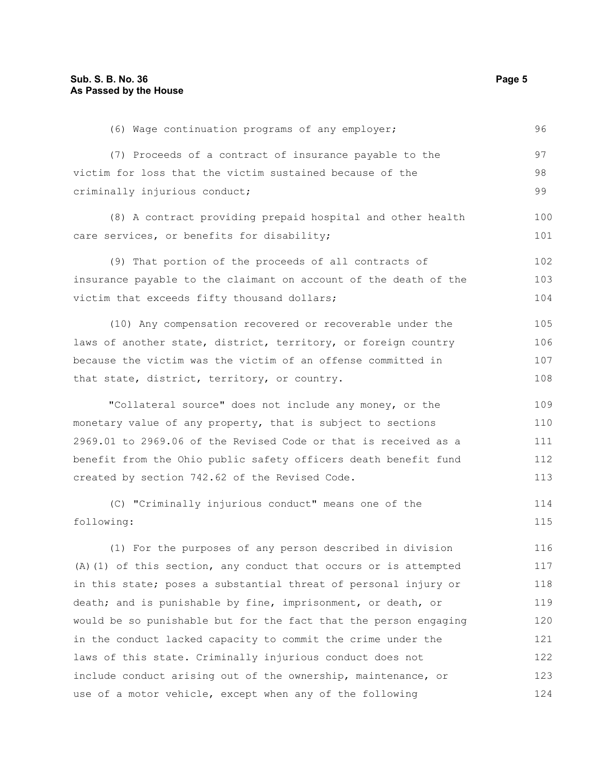(6) Wage continuation programs of any employer; 96

(7) Proceeds of a contract of insurance payable to the victim for loss that the victim sustained because of the criminally injurious conduct; 97 98 99

(8) A contract providing prepaid hospital and other health care services, or benefits for disability; 100 101

(9) That portion of the proceeds of all contracts of insurance payable to the claimant on account of the death of the victim that exceeds fifty thousand dollars; 102 103 104

(10) Any compensation recovered or recoverable under the laws of another state, district, territory, or foreign country because the victim was the victim of an offense committed in that state, district, territory, or country. 105 106 107 108

"Collateral source" does not include any money, or the monetary value of any property, that is subject to sections 2969.01 to 2969.06 of the Revised Code or that is received as a benefit from the Ohio public safety officers death benefit fund created by section 742.62 of the Revised Code. 109 110 111 112 113

```
(C) "Criminally injurious conduct" means one of the
following:
                                                                             114
                                                                             115
```
(1) For the purposes of any person described in division (A)(1) of this section, any conduct that occurs or is attempted in this state; poses a substantial threat of personal injury or death; and is punishable by fine, imprisonment, or death, or would be so punishable but for the fact that the person engaging in the conduct lacked capacity to commit the crime under the laws of this state. Criminally injurious conduct does not include conduct arising out of the ownership, maintenance, or use of a motor vehicle, except when any of the following 116 117 118 119 120 121 122 123 124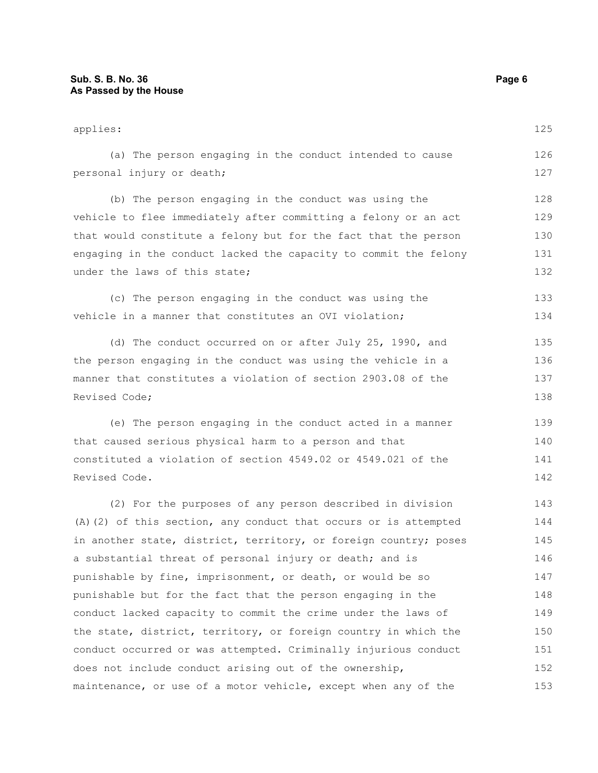| applies:                                                           | 125 |
|--------------------------------------------------------------------|-----|
| (a) The person engaging in the conduct intended to cause           | 126 |
| personal injury or death;                                          | 127 |
| (b) The person engaging in the conduct was using the               | 128 |
| vehicle to flee immediately after committing a felony or an act    | 129 |
| that would constitute a felony but for the fact that the person    | 130 |
| engaging in the conduct lacked the capacity to commit the felony   | 131 |
| under the laws of this state;                                      | 132 |
| (c) The person engaging in the conduct was using the               | 133 |
| vehicle in a manner that constitutes an OVI violation;             | 134 |
| (d) The conduct occurred on or after July 25, 1990, and            | 135 |
| the person engaging in the conduct was using the vehicle in a      | 136 |
| manner that constitutes a violation of section 2903.08 of the      | 137 |
| Revised Code;                                                      | 138 |
| (e) The person engaging in the conduct acted in a manner           | 139 |
| that caused serious physical harm to a person and that             | 140 |
| constituted a violation of section 4549.02 or 4549.021 of the      | 141 |
|                                                                    |     |
| Revised Code.                                                      | 142 |
| (2) For the purposes of any person described in division           | 143 |
| $(A)$ (2) of this section, any conduct that occurs or is attempted | 144 |
| in another state, district, territory, or foreign country; poses   | 145 |
| a substantial threat of personal injury or death; and is           | 146 |
| punishable by fine, imprisonment, or death, or would be so         | 147 |
| punishable but for the fact that the person engaging in the        | 148 |
| conduct lacked capacity to commit the crime under the laws of      | 149 |
| the state, district, territory, or foreign country in which the    | 150 |
| conduct occurred or was attempted. Criminally injurious conduct    | 151 |
| does not include conduct arising out of the ownership,             | 152 |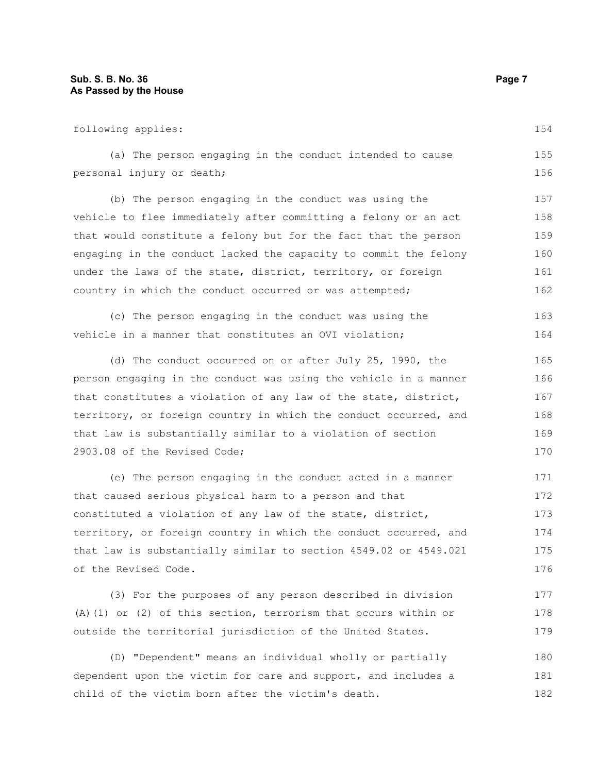| following applies:                                                | 154 |
|-------------------------------------------------------------------|-----|
| (a) The person engaging in the conduct intended to cause          | 155 |
| personal injury or death;                                         | 156 |
| (b) The person engaging in the conduct was using the              | 157 |
| vehicle to flee immediately after committing a felony or an act   | 158 |
| that would constitute a felony but for the fact that the person   | 159 |
| engaging in the conduct lacked the capacity to commit the felony  | 160 |
| under the laws of the state, district, territory, or foreign      | 161 |
| country in which the conduct occurred or was attempted;           | 162 |
| (c) The person engaging in the conduct was using the              | 163 |
| vehicle in a manner that constitutes an OVI violation;            | 164 |
| (d) The conduct occurred on or after July 25, 1990, the           | 165 |
| person engaging in the conduct was using the vehicle in a manner  | 166 |
| that constitutes a violation of any law of the state, district,   | 167 |
| territory, or foreign country in which the conduct occurred, and  | 168 |
| that law is substantially similar to a violation of section       | 169 |
| 2903.08 of the Revised Code;                                      | 170 |
| (e) The person engaging in the conduct acted in a manner          | 171 |
| that caused serious physical harm to a person and that            | 172 |
| constituted a violation of any law of the state, district,        | 173 |
| territory, or foreign country in which the conduct occurred, and  | 174 |
| that law is substantially similar to section 4549.02 or 4549.021  | 175 |
| of the Revised Code.                                              | 176 |
| (3) For the purposes of any person described in division          | 177 |
| $(A)$ (1) or (2) of this section, terrorism that occurs within or | 178 |
| outside the territorial jurisdiction of the United States.        | 179 |
| (D) "Dependent" means an individual wholly or partially           | 180 |
| dependent upon the victim for care and support, and includes a    | 181 |

child of the victim born after the victim's death.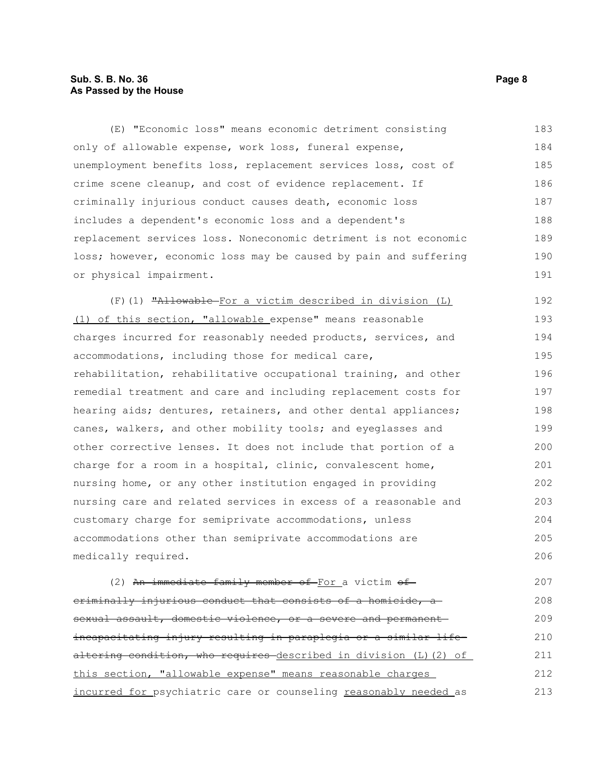### **Sub. S. B. No. 36** Page 8 **As Passed by the House**

(E) "Economic loss" means economic detriment consisting only of allowable expense, work loss, funeral expense, unemployment benefits loss, replacement services loss, cost of crime scene cleanup, and cost of evidence replacement. If criminally injurious conduct causes death, economic loss includes a dependent's economic loss and a dependent's replacement services loss. Noneconomic detriment is not economic loss; however, economic loss may be caused by pain and suffering or physical impairment. 183 184 185 186 187 188 189 190 191

(F)(1) "Allowable For a victim described in division (L) (1) of this section, "allowable expense" means reasonable charges incurred for reasonably needed products, services, and accommodations, including those for medical care, rehabilitation, rehabilitative occupational training, and other remedial treatment and care and including replacement costs for hearing aids; dentures, retainers, and other dental appliances; canes, walkers, and other mobility tools; and eyeglasses and other corrective lenses. It does not include that portion of a charge for a room in a hospital, clinic, convalescent home, nursing home, or any other institution engaged in providing nursing care and related services in excess of a reasonable and customary charge for semiprivate accommodations, unless accommodations other than semiprivate accommodations are medically required. 192 193 194 195 196 197 198 199 200 201 202 203 204 205 206

(2) An immediate family member of For a victim of criminally injurious conduct that consists of a homicide, a sexual assault, domestic violence, or a severe and permanent incapacitating injury resulting in paraplegia or a similar lifealtering condition, who requires described in division (L)(2) of this section, "allowable expense" means reasonable charges incurred for psychiatric care or counseling reasonably needed as 207 208 209 210 211 212 213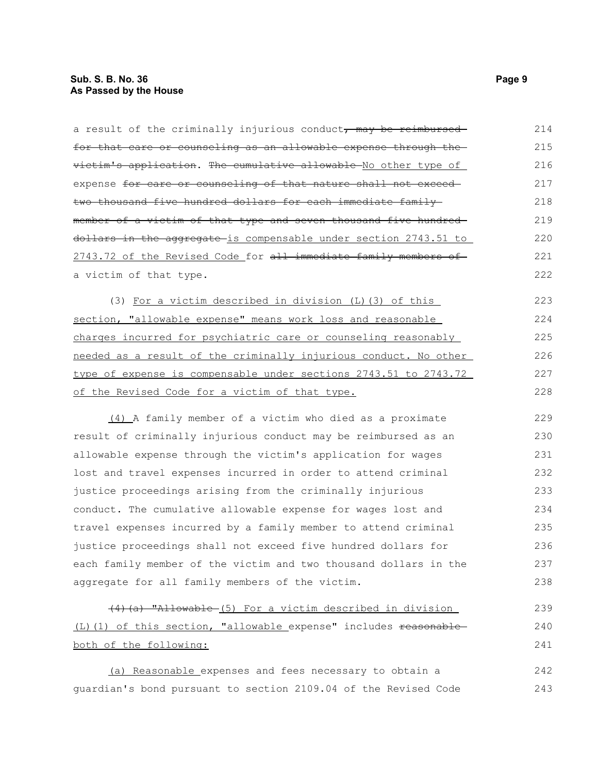### **Sub. S. B. No. 36** Page 9 **As Passed by the House**

| a result of the criminally injurious conduct, may be reimbursed  | 214 |
|------------------------------------------------------------------|-----|
| for that care or counseling as an allowable expense through the  | 215 |
| victim's application. The cumulative allowable No other type of  | 216 |
| expense for care or counseling of that nature shall not exceed-  | 217 |
| two thousand five hundred dollars for each immediate family      | 218 |
| member of a victim of that type and seven thousand five hundred  | 219 |
| dollars in the aggregate-is compensable under section 2743.51 to | 220 |
| 2743.72 of the Revised Code for all immediate family members of  | 221 |
| a victim of that type.                                           | 222 |
| (3) For a victim described in division (L) (3) of this           | 223 |
| section, "allowable expense" means work loss and reasonable      | 224 |
| charges incurred for psychiatric care or counseling reasonably   | 225 |
| needed as a result of the criminally injurious conduct. No other | 226 |
| type of expense is compensable under sections 2743.51 to 2743.72 | 227 |
| of the Revised Code for a victim of that type.                   | 228 |
| (4) A family member of a victim who died as a proximate          | 229 |
| result of criminally injurious conduct may be reimbursed as an   | 230 |
| allowable expense through the victim's application for wages     | 231 |
| lost and travel expenses incurred in order to attend criminal    | 232 |
| justice proceedings arising from the criminally injurious        | 233 |
| conduct. The cumulative allowable expense for wages lost and     | 234 |
| travel expenses incurred by a family member to attend criminal   | 235 |
| justice proceedings shall not exceed five hundred dollars for    | 236 |
| each family member of the victim and two thousand dollars in the | 237 |
| aggregate for all family members of the victim.                  | 238 |
| (4) (a) "Allowable (5) For a victim described in division        | 239 |
| (L)(1) of this section, "allowable_expense" includes reasonable  | 240 |
| both of the following:                                           | 241 |
| (a) Reasonable expenses and fees necessary to obtain a           | 242 |
| guardian's bond pursuant to section 2109.04 of the Revised Code  | 243 |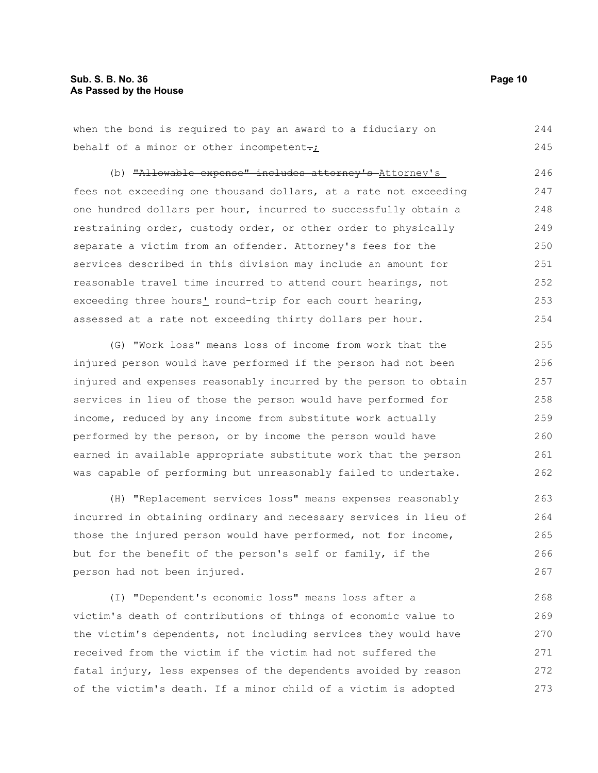when the bond is required to pay an award to a fiduciary on behalf of a minor or other incompetent $\div$ ; 244 245

(b) "Allowable expense" includes attorney's Attorney's fees not exceeding one thousand dollars, at a rate not exceeding one hundred dollars per hour, incurred to successfully obtain a restraining order, custody order, or other order to physically separate a victim from an offender. Attorney's fees for the services described in this division may include an amount for reasonable travel time incurred to attend court hearings, not exceeding three hours' round-trip for each court hearing, assessed at a rate not exceeding thirty dollars per hour. 246 247 248 249 250 251 252 253 254

(G) "Work loss" means loss of income from work that the injured person would have performed if the person had not been injured and expenses reasonably incurred by the person to obtain services in lieu of those the person would have performed for income, reduced by any income from substitute work actually performed by the person, or by income the person would have earned in available appropriate substitute work that the person was capable of performing but unreasonably failed to undertake. 255 256 257 258 259 260 261 262

(H) "Replacement services loss" means expenses reasonably incurred in obtaining ordinary and necessary services in lieu of those the injured person would have performed, not for income, but for the benefit of the person's self or family, if the person had not been injured. 263 264 265 266 267

(I) "Dependent's economic loss" means loss after a victim's death of contributions of things of economic value to the victim's dependents, not including services they would have received from the victim if the victim had not suffered the fatal injury, less expenses of the dependents avoided by reason of the victim's death. If a minor child of a victim is adopted 268 269 270 271 272 273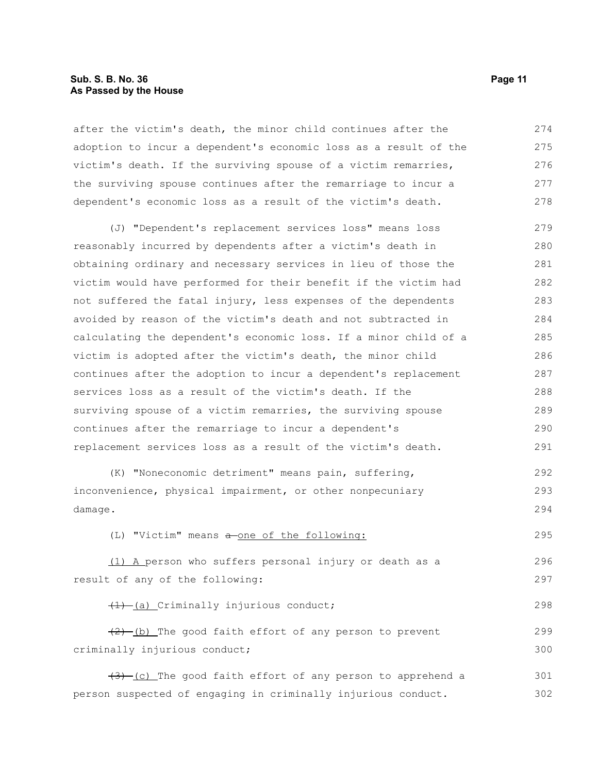#### **Sub. S. B. No. 36 Page 11 As Passed by the House**

after the victim's death, the minor child continues after the adoption to incur a dependent's economic loss as a result of the victim's death. If the surviving spouse of a victim remarries, the surviving spouse continues after the remarriage to incur a dependent's economic loss as a result of the victim's death. 274 275 276 277 278

(J) "Dependent's replacement services loss" means loss reasonably incurred by dependents after a victim's death in obtaining ordinary and necessary services in lieu of those the victim would have performed for their benefit if the victim had not suffered the fatal injury, less expenses of the dependents avoided by reason of the victim's death and not subtracted in calculating the dependent's economic loss. If a minor child of a victim is adopted after the victim's death, the minor child continues after the adoption to incur a dependent's replacement services loss as a result of the victim's death. If the surviving spouse of a victim remarries, the surviving spouse continues after the remarriage to incur a dependent's replacement services loss as a result of the victim's death. 279 280 281 282 283 284 285 286 287 288 289 290 291

(K) "Noneconomic detriment" means pain, suffering, inconvenience, physical impairment, or other nonpecuniary damage. 292 293 294

(L) "Victim" means  $a$ -one of the following:

(1) A person who suffers personal injury or death as a result of any of the following:

 $(1)$  (a) Criminally injurious conduct;

 $(2)$  (b) The good faith effort of any person to prevent criminally injurious conduct;

 $(3)$  (c) The good faith effort of any person to apprehend a person suspected of engaging in criminally injurious conduct. 301 302

295

296 297

298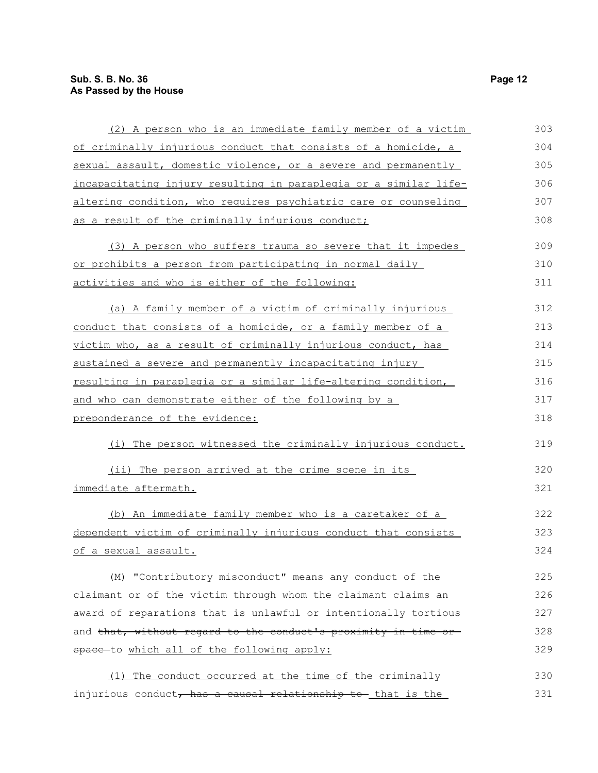| (2) A person who is an immediate family member of a victim       | 303 |
|------------------------------------------------------------------|-----|
| of criminally injurious conduct that consists of a homicide, a   | 304 |
| sexual assault, domestic violence, or a severe and permanently   | 305 |
| incapacitating injury resulting in paraplegia or a similar life- | 306 |
| altering condition, who requires psychiatric care or counseling  | 307 |
| as a result of the criminally injurious conduct;                 | 308 |
| (3) A person who suffers trauma so severe that it impedes        | 309 |
| or prohibits a person from participating in normal daily         | 310 |
| activities and who is either of the following:                   | 311 |
| (a) A family member of a victim of criminally injurious          | 312 |
| conduct that consists of a homicide, or a family member of a     | 313 |
| victim who, as a result of criminally injurious conduct, has     | 314 |
| sustained a severe and permanently incapacitating injury         | 315 |
| resulting in paraplegia or a similar life-altering condition,    | 316 |
| and who can demonstrate either of the following by a             | 317 |
| preponderance of the evidence:                                   | 318 |
| (i) The person witnessed the criminally injurious conduct.       | 319 |
| (ii) The person arrived at the crime scene in its                | 320 |
| immediate aftermath.                                             | 321 |
| (b) An immediate family member who is a caretaker of a           | 322 |
| dependent victim of criminally injurious conduct that consists   | 323 |
| of a sexual assault.                                             | 324 |
| (M) "Contributory misconduct" means any conduct of the           | 325 |
| claimant or of the victim through whom the claimant claims an    | 326 |
| award of reparations that is unlawful or intentionally tortious  | 327 |
| and that, without regard to the conduct's proximity in time or   | 328 |
| space-to which all of the following apply:                       | 329 |
| (1) The conduct occurred at the time of the criminally           | 330 |
| injurious conduct, has a causal relationship to that is the      | 331 |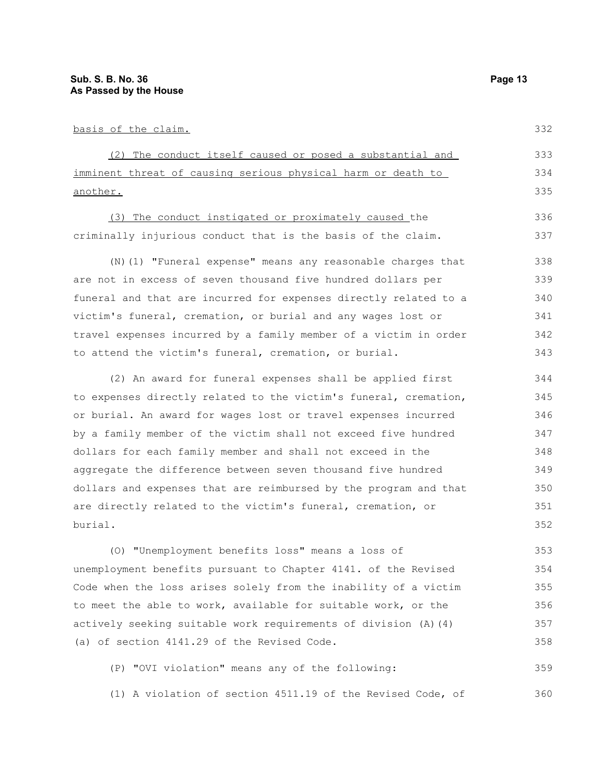#### basis of the claim.

|          |  |  | (2) The conduct itself caused or posed a substantial and     |  |  | 333 |
|----------|--|--|--------------------------------------------------------------|--|--|-----|
|          |  |  | imminent threat of causing serious physical harm or death to |  |  | 334 |
| another. |  |  |                                                              |  |  | 335 |

(3) The conduct instigated or proximately caused the criminally injurious conduct that is the basis of the claim. 336 337

(N)(1) "Funeral expense" means any reasonable charges that are not in excess of seven thousand five hundred dollars per funeral and that are incurred for expenses directly related to a victim's funeral, cremation, or burial and any wages lost or travel expenses incurred by a family member of a victim in order to attend the victim's funeral, cremation, or burial. 338 339 340 341 342 343

(2) An award for funeral expenses shall be applied first to expenses directly related to the victim's funeral, cremation, or burial. An award for wages lost or travel expenses incurred by a family member of the victim shall not exceed five hundred dollars for each family member and shall not exceed in the aggregate the difference between seven thousand five hundred dollars and expenses that are reimbursed by the program and that are directly related to the victim's funeral, cremation, or burial. 344 345 346 347 348 349 350 351 352

(O) "Unemployment benefits loss" means a loss of unemployment benefits pursuant to Chapter 4141. of the Revised Code when the loss arises solely from the inability of a victim to meet the able to work, available for suitable work, or the actively seeking suitable work requirements of division (A)(4) (a) of section 4141.29 of the Revised Code. 353 354 355 356 357 358

(P) "OVI violation" means any of the following: 359

(1) A violation of section 4511.19 of the Revised Code, of

332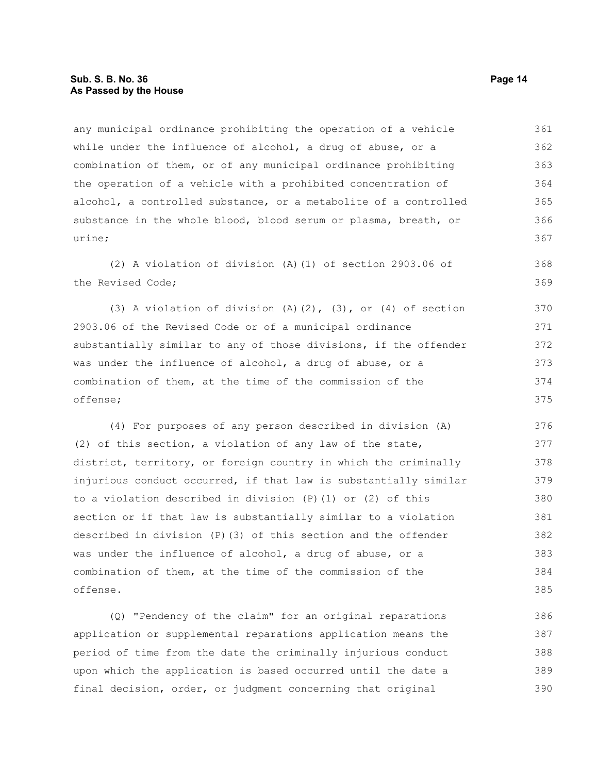any municipal ordinance prohibiting the operation of a vehicle while under the influence of alcohol, a drug of abuse, or a combination of them, or of any municipal ordinance prohibiting the operation of a vehicle with a prohibited concentration of alcohol, a controlled substance, or a metabolite of a controlled substance in the whole blood, blood serum or plasma, breath, or urine; 361 362 363 364 365 366 367

(2) A violation of division (A)(1) of section 2903.06 of the Revised Code; 368 369

(3) A violation of division  $(A)$   $(2)$ ,  $(3)$ , or  $(4)$  of section 2903.06 of the Revised Code or of a municipal ordinance substantially similar to any of those divisions, if the offender was under the influence of alcohol, a drug of abuse, or a combination of them, at the time of the commission of the offense; 370 371 372 373 374 375

(4) For purposes of any person described in division (A) (2) of this section, a violation of any law of the state, district, territory, or foreign country in which the criminally injurious conduct occurred, if that law is substantially similar to a violation described in division (P)(1) or (2) of this section or if that law is substantially similar to a violation described in division (P)(3) of this section and the offender was under the influence of alcohol, a drug of abuse, or a combination of them, at the time of the commission of the offense. 376 377 378 379 380 381 382 383 384 385

(Q) "Pendency of the claim" for an original reparations application or supplemental reparations application means the period of time from the date the criminally injurious conduct upon which the application is based occurred until the date a final decision, order, or judgment concerning that original 386 387 388 389 390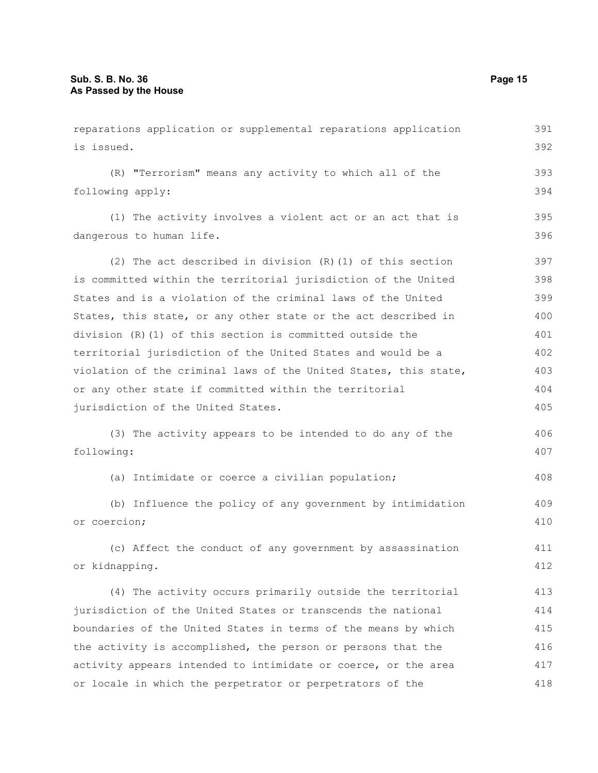| reparations application or supplemental reparations application  | 391 |
|------------------------------------------------------------------|-----|
| is issued.                                                       | 392 |
| (R) "Terrorism" means any activity to which all of the           | 393 |
| following apply:                                                 | 394 |
| (1) The activity involves a violent act or an act that is        | 395 |
| dangerous to human life.                                         | 396 |
| (2) The act described in division $(R)$ (1) of this section      | 397 |
| is committed within the territorial jurisdiction of the United   | 398 |
| States and is a violation of the criminal laws of the United     | 399 |
| States, this state, or any other state or the act described in   | 400 |
| division (R) (1) of this section is committed outside the        | 401 |
| territorial jurisdiction of the United States and would be a     | 402 |
| violation of the criminal laws of the United States, this state, | 403 |
| or any other state if committed within the territorial           | 404 |
| jurisdiction of the United States.                               | 405 |
| (3) The activity appears to be intended to do any of the         | 406 |
| following:                                                       | 407 |
| (a) Intimidate or coerce a civilian population;                  | 408 |
| (b) Influence the policy of any government by intimidation       | 409 |
| or coercion;                                                     | 410 |
| (c) Affect the conduct of any government by assassination        | 411 |
| or kidnapping.                                                   | 412 |
| (4) The activity occurs primarily outside the territorial        | 413 |
| jurisdiction of the United States or transcends the national     | 414 |
| boundaries of the United States in terms of the means by which   | 415 |
| the activity is accomplished, the person or persons that the     | 416 |

activity appears intended to intimidate or coerce, or the area

or locale in which the perpetrator or perpetrators of the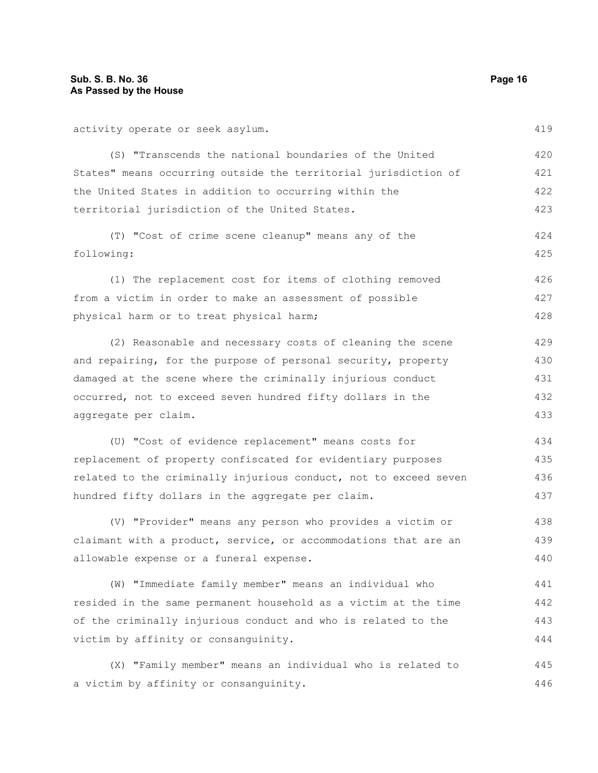activity operate or seek asylum.

(S) "Transcends the national boundaries of the United States" means occurring outside the territorial jurisdiction of the United States in addition to occurring within the territorial jurisdiction of the United States. 420 421 422 423

(T) "Cost of crime scene cleanup" means any of the following: 424 425

(1) The replacement cost for items of clothing removed from a victim in order to make an assessment of possible physical harm or to treat physical harm; 426 427 428

(2) Reasonable and necessary costs of cleaning the scene and repairing, for the purpose of personal security, property damaged at the scene where the criminally injurious conduct occurred, not to exceed seven hundred fifty dollars in the aggregate per claim. 429 430 431 432 433

(U) "Cost of evidence replacement" means costs for replacement of property confiscated for evidentiary purposes related to the criminally injurious conduct, not to exceed seven hundred fifty dollars in the aggregate per claim. 434 435 436 437

(V) "Provider" means any person who provides a victim or claimant with a product, service, or accommodations that are an allowable expense or a funeral expense. 438 439 440

(W) "Immediate family member" means an individual who resided in the same permanent household as a victim at the time of the criminally injurious conduct and who is related to the victim by affinity or consanguinity. 441 442 443 444

(X) "Family member" means an individual who is related to a victim by affinity or consanguinity. 445 446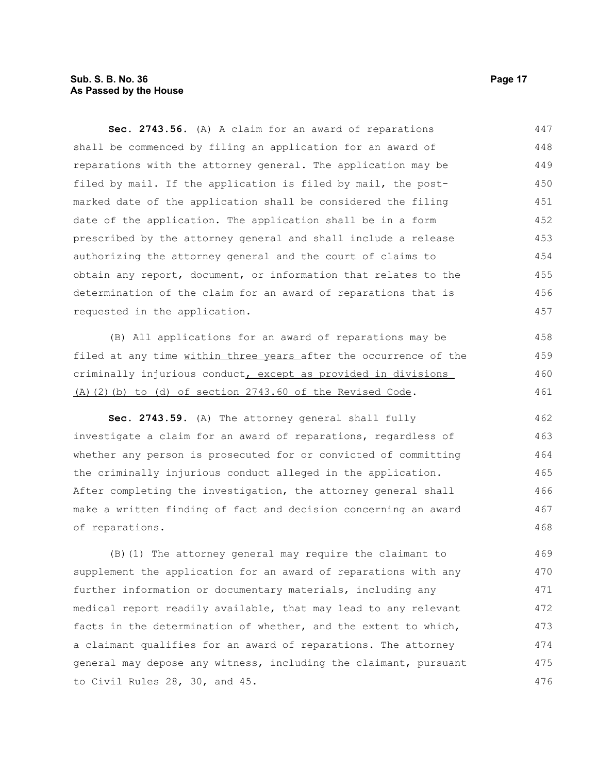### **Sub. S. B. No. 36 Page 17 As Passed by the House**

**Sec. 2743.56.** (A) A claim for an award of reparations shall be commenced by filing an application for an award of reparations with the attorney general. The application may be filed by mail. If the application is filed by mail, the postmarked date of the application shall be considered the filing date of the application. The application shall be in a form prescribed by the attorney general and shall include a release authorizing the attorney general and the court of claims to obtain any report, document, or information that relates to the determination of the claim for an award of reparations that is requested in the application. 447 448 449 450 451 452 453 454 455 456 457

(B) All applications for an award of reparations may be filed at any time within three years after the occurrence of the criminally injurious conduct, except as provided in divisions (A)(2)(b) to (d) of section 2743.60 of the Revised Code.

**Sec. 2743.59.** (A) The attorney general shall fully investigate a claim for an award of reparations, regardless of whether any person is prosecuted for or convicted of committing the criminally injurious conduct alleged in the application. After completing the investigation, the attorney general shall make a written finding of fact and decision concerning an award of reparations. 462 463 464 465 466 467 468

(B)(1) The attorney general may require the claimant to supplement the application for an award of reparations with any further information or documentary materials, including any medical report readily available, that may lead to any relevant facts in the determination of whether, and the extent to which, a claimant qualifies for an award of reparations. The attorney general may depose any witness, including the claimant, pursuant to Civil Rules 28, 30, and 45. 469 470 471 472 473 474 475 476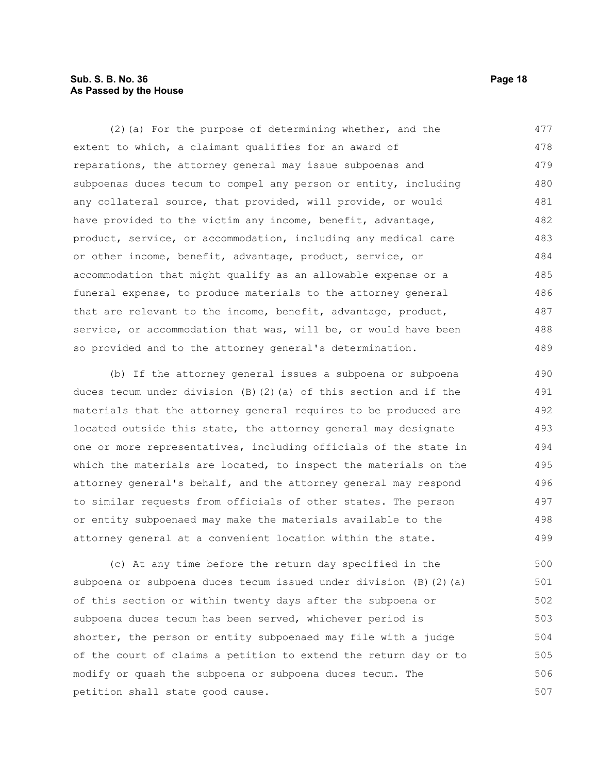#### **Sub. S. B. No. 36 Page 18 As Passed by the House**

(2)(a) For the purpose of determining whether, and the extent to which, a claimant qualifies for an award of reparations, the attorney general may issue subpoenas and subpoenas duces tecum to compel any person or entity, including any collateral source, that provided, will provide, or would have provided to the victim any income, benefit, advantage, product, service, or accommodation, including any medical care or other income, benefit, advantage, product, service, or accommodation that might qualify as an allowable expense or a funeral expense, to produce materials to the attorney general that are relevant to the income, benefit, advantage, product, service, or accommodation that was, will be, or would have been so provided and to the attorney general's determination. 477 478 479 480 481 482 483 484 485 486 487 488 489

(b) If the attorney general issues a subpoena or subpoena duces tecum under division (B)(2)(a) of this section and if the materials that the attorney general requires to be produced are located outside this state, the attorney general may designate one or more representatives, including officials of the state in which the materials are located, to inspect the materials on the attorney general's behalf, and the attorney general may respond to similar requests from officials of other states. The person or entity subpoenaed may make the materials available to the attorney general at a convenient location within the state. 490 491 492 493 494 495 496 497 498 499

(c) At any time before the return day specified in the subpoena or subpoena duces tecum issued under division (B)(2)(a) of this section or within twenty days after the subpoena or subpoena duces tecum has been served, whichever period is shorter, the person or entity subpoenaed may file with a judge of the court of claims a petition to extend the return day or to modify or quash the subpoena or subpoena duces tecum. The petition shall state good cause. 500 501 502 503 504 505 506 507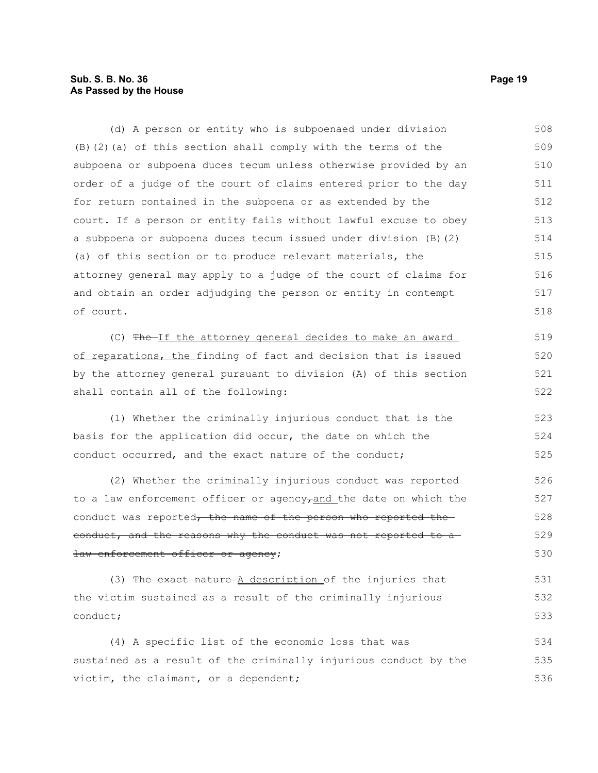### **Sub. S. B. No. 36 Page 19 As Passed by the House**

victim, the claimant, or a dependent;

(B)(2)(a) of this section shall comply with the terms of the subpoena or subpoena duces tecum unless otherwise provided by an order of a judge of the court of claims entered prior to the day for return contained in the subpoena or as extended by the court. If a person or entity fails without lawful excuse to obey a subpoena or subpoena duces tecum issued under division (B)(2) (a) of this section or to produce relevant materials, the attorney general may apply to a judge of the court of claims for and obtain an order adjudging the person or entity in contempt of court. (C) The If the attorney general decides to make an award of reparations, the finding of fact and decision that is issued by the attorney general pursuant to division (A) of this section shall contain all of the following: (1) Whether the criminally injurious conduct that is the basis for the application did occur, the date on which the conduct occurred, and the exact nature of the conduct; (2) Whether the criminally injurious conduct was reported to a law enforcement officer or agency $\tau$ and the date on which the conduct was reported, the name of the person who reported the conduct, and the reasons why the conduct was not reported to a law enforcement officer or agency; (3) The exact nature A description of the injuries that the victim sustained as a result of the criminally injurious conduct; (4) A specific list of the economic loss that was sustained as a result of the criminally injurious conduct by the 509 510 511 512 513 514 515 516 517 518 519 520 521 522 523 524 525 526 527 528 529 530 531 532 533 534 535

(d) A person or entity who is subpoenaed under division

508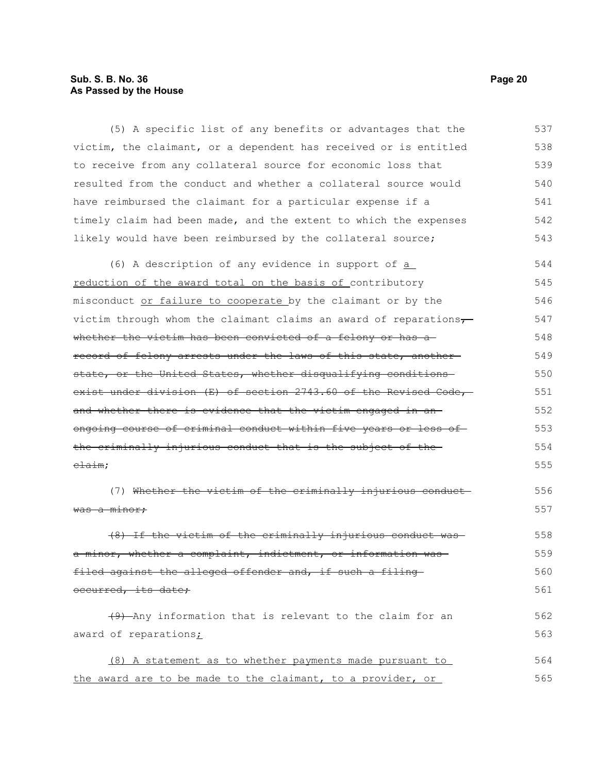### **Sub. S. B. No. 36 Page 20 As Passed by the House**

(5) A specific list of any benefits or advantages that the victim, the claimant, or a dependent has received or is entitled to receive from any collateral source for economic loss that resulted from the conduct and whether a collateral source would have reimbursed the claimant for a particular expense if a timely claim had been made, and the extent to which the expenses likely would have been reimbursed by the collateral source; 537 538 539 540 541 542 543

(6) A description of any evidence in support of a reduction of the award total on the basis of contributory misconduct or failure to cooperate by the claimant or by the victim through whom the claimant claims an award of reparations, whether the victim has been convicted of a felony or has arecord of felony arrests under the laws of this state, another state, or the United States, whether disqualifying conditions exist under division (E) of section 2743.60 of the Revised Code, and whether there is evidence that the victim engaged in an ongoing course of criminal conduct within five years or less of the criminally injurious conduct that is the subject of the claim; 544 545 546 547 548 549 550 551 552 553 554 555

(7) Whether the victim of the criminally injurious conduct was a minor; 556 557

(8) If the victim of the criminally injurious conduct was a minor, whether a complaint, indictment, or information was filed against the alleged offender and, if such a filing occurred, its date; 558 559 560 561

(9) Any information that is relevant to the claim for an award of reparations<sub>i</sub> 562 563

(8) A statement as to whether payments made pursuant to the award are to be made to the claimant, to a provider, or 564 565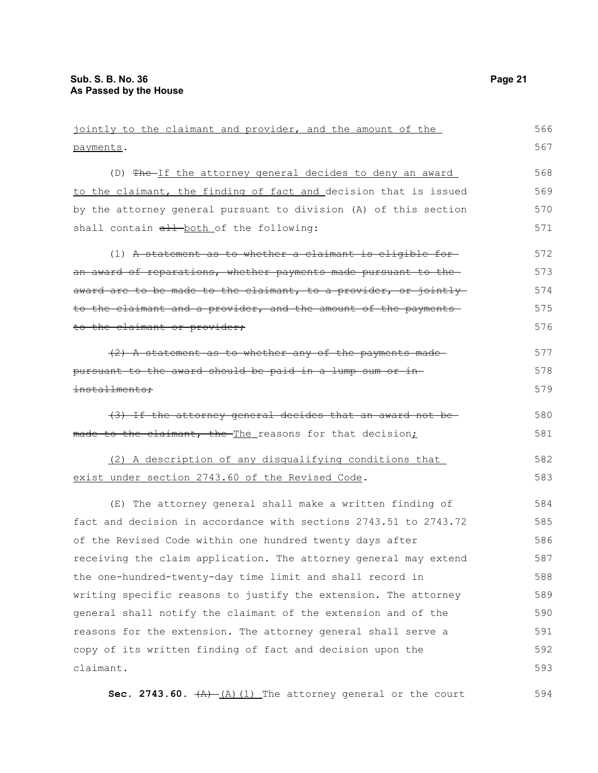| jointly to the claimant and provider, and the amount of the      | 566 |
|------------------------------------------------------------------|-----|
| payments.                                                        | 567 |
| (D) The-If the attorney general decides to deny an award         | 568 |
| to the claimant, the finding of fact and decision that is issued | 569 |
| by the attorney general pursuant to division (A) of this section | 570 |
| shall contain all-both of the following:                         | 571 |
| (1) A statement as to whether a claimant is eligible for-        | 572 |
| an award of reparations, whether payments made pursuant to the-  | 573 |
| award are to be made to the claimant, to a provider, or jointly  | 574 |
| to the claimant and a provider, and the amount of the payments   | 575 |
| to the claimant or provider;                                     | 576 |
| (2) A statement as to whether any of the payments made-          | 577 |
| pursuant to the award should be paid in a lump sum or in-        | 578 |
| installments;                                                    | 579 |
| (3) If the attorney general decides that an award not be-        | 580 |
| made to the claimant, the The reasons for that decision;         | 581 |
| (2) A description of any disqualifying conditions that           | 582 |
| exist under section 2743.60 of the Revised Code.                 | 583 |
| (E) The attorney general shall make a written finding of         | 584 |
| fact and decision in accordance with sections 2743.51 to 2743.72 | 585 |
| of the Revised Code within one hundred twenty days after         | 586 |
| receiving the claim application. The attorney general may extend | 587 |
| the one-hundred-twenty-day time limit and shall record in        | 588 |
| writing specific reasons to justify the extension. The attorney  | 589 |
| general shall notify the claimant of the extension and of the    | 590 |
| reasons for the extension. The attorney general shall serve a    | 591 |
| copy of its written finding of fact and decision upon the        | 592 |
| claimant.                                                        | 593 |
|                                                                  |     |

**Sec. 2743.60.**  $\frac{(A) - (A)(1)}{1}$  The attorney general or the court 594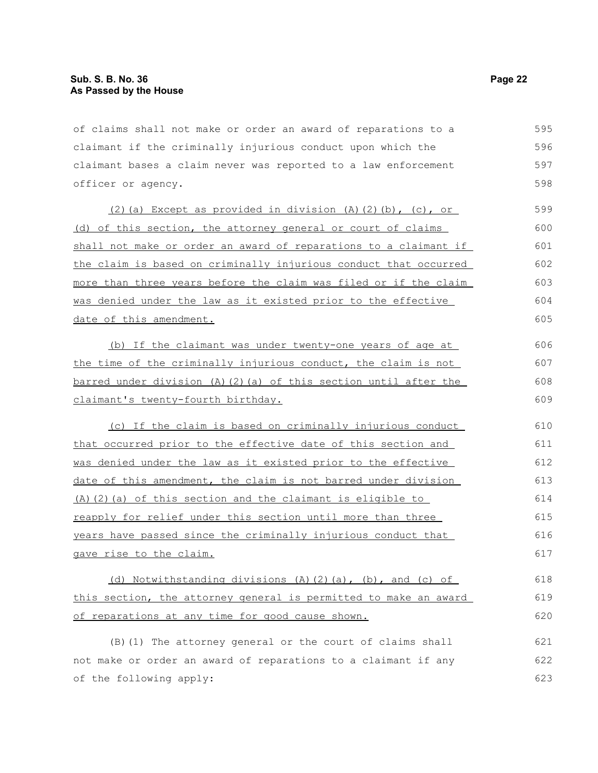of claims shall not make or order an award of reparations to a claimant if the criminally injurious conduct upon which the claimant bases a claim never was reported to a law enforcement officer or agency. (2)(a) Except as provided in division (A)(2)(b), (c), or (d) of this section, the attorney general or court of claims shall not make or order an award of reparations to a claimant if the claim is based on criminally injurious conduct that occurred more than three years before the claim was filed or if the claim was denied under the law as it existed prior to the effective date of this amendment. (b) If the claimant was under twenty-one years of age at the time of the criminally injurious conduct, the claim is not barred under division (A)(2)(a) of this section until after the claimant's twenty-fourth birthday. (c) If the claim is based on criminally injurious conduct that occurred prior to the effective date of this section and was denied under the law as it existed prior to the effective date of this amendment, the claim is not barred under division (A)(2)(a) of this section and the claimant is eligible to reapply for relief under this section until more than three years have passed since the criminally injurious conduct that gave rise to the claim. (d) Notwithstanding divisions  $(A)$   $(2)$   $(a)$ ,  $(b)$ , and  $(c)$  of this section, the attorney general is permitted to make an award of reparations at any time for good cause shown. (B)(1) The attorney general or the court of claims shall not make or order an award of reparations to a claimant if any of the following apply: 595 596 597 598 599 600 601 602 603 604 605 606 607 608 609 610 611 612 613 614 615 616 617 618 619 620 621 622 623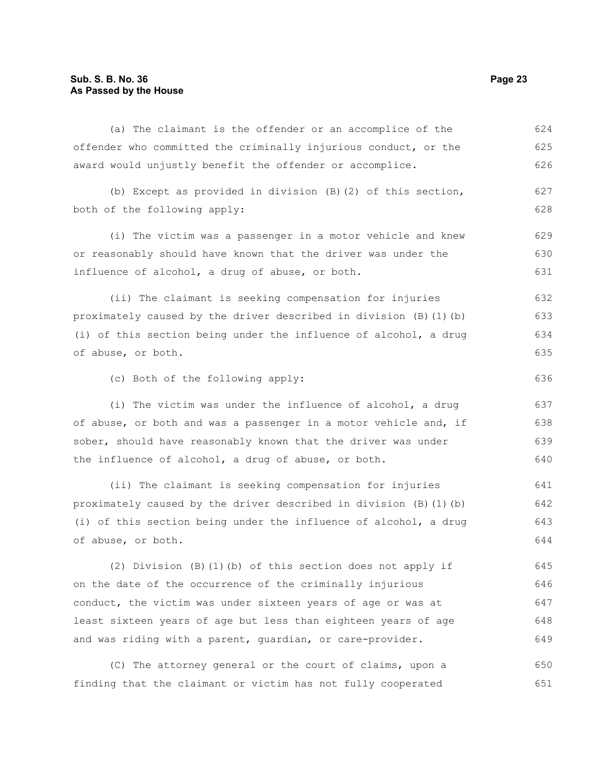#### **Sub. S. B. No. 36 Page 23 As Passed by the House**

(a) The claimant is the offender or an accomplice of the offender who committed the criminally injurious conduct, or the award would unjustly benefit the offender or accomplice. (b) Except as provided in division (B)(2) of this section, both of the following apply: (i) The victim was a passenger in a motor vehicle and knew or reasonably should have known that the driver was under the influence of alcohol, a drug of abuse, or both. (ii) The claimant is seeking compensation for injuries proximately caused by the driver described in division (B)(1)(b) (i) of this section being under the influence of alcohol, a drug of abuse, or both. (c) Both of the following apply: (i) The victim was under the influence of alcohol, a drug of abuse, or both and was a passenger in a motor vehicle and, if sober, should have reasonably known that the driver was under the influence of alcohol, a drug of abuse, or both. (ii) The claimant is seeking compensation for injuries proximately caused by the driver described in division (B)(1)(b) (i) of this section being under the influence of alcohol, a drug of abuse, or both. (2) Division (B)(1)(b) of this section does not apply if on the date of the occurrence of the criminally injurious conduct, the victim was under sixteen years of age or was at least sixteen years of age but less than eighteen years of age and was riding with a parent, guardian, or care-provider. 624 625 626 627 628 629 630 631 632 633 634 635 636 637 638 639 640 641 642 643 644 645 646 647 648 649

(C) The attorney general or the court of claims, upon a finding that the claimant or victim has not fully cooperated 650 651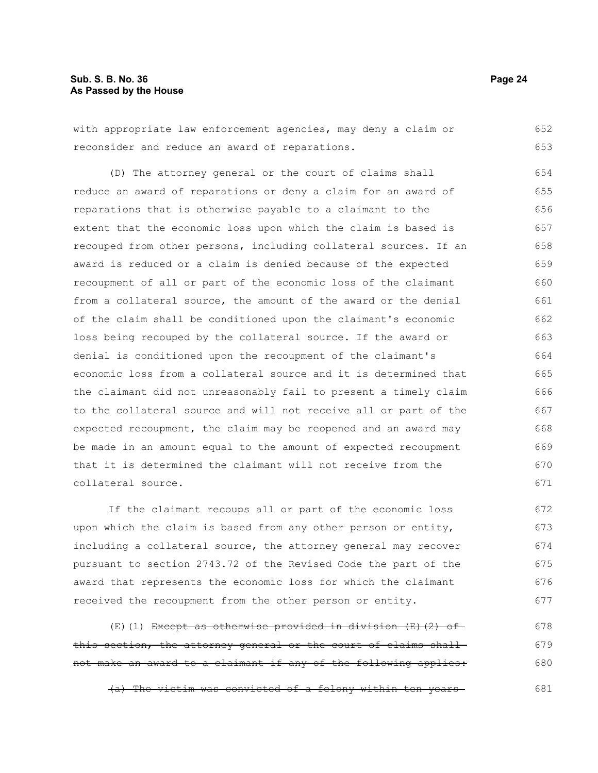with appropriate law enforcement agencies, may deny a claim or reconsider and reduce an award of reparations. 652 653

(D) The attorney general or the court of claims shall reduce an award of reparations or deny a claim for an award of reparations that is otherwise payable to a claimant to the extent that the economic loss upon which the claim is based is recouped from other persons, including collateral sources. If an award is reduced or a claim is denied because of the expected recoupment of all or part of the economic loss of the claimant from a collateral source, the amount of the award or the denial of the claim shall be conditioned upon the claimant's economic loss being recouped by the collateral source. If the award or denial is conditioned upon the recoupment of the claimant's economic loss from a collateral source and it is determined that the claimant did not unreasonably fail to present a timely claim to the collateral source and will not receive all or part of the expected recoupment, the claim may be reopened and an award may be made in an amount equal to the amount of expected recoupment that it is determined the claimant will not receive from the collateral source. 654 655 656 657 658 659 660 661 662 663 664 665 666 667 668 669 670 671

If the claimant recoups all or part of the economic loss upon which the claim is based from any other person or entity, including a collateral source, the attorney general may recover pursuant to section 2743.72 of the Revised Code the part of the award that represents the economic loss for which the claimant received the recoupment from the other person or entity. 672 673 674 675 676 677

 $(E)$ (1) Except as otherwise provided in division  $(E)$  (2) of this section, the attorney general or the court of claims shallnot make an award to a claimant if any of the following applies: 678 679 680

(a) The victim was convicted of a felony within ten years 681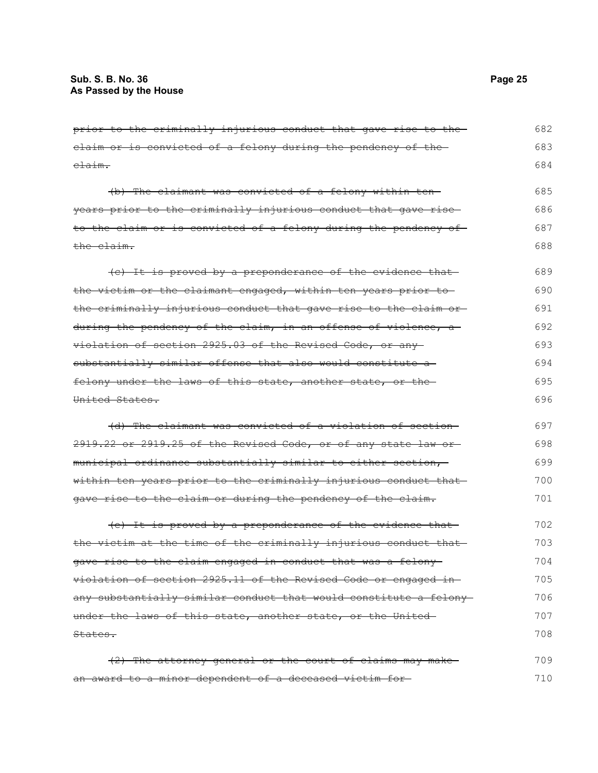| prior to the criminally injurious conduct that gave rise to the- | 682 |
|------------------------------------------------------------------|-----|
| elaim or is convicted of a felony during the pendency of the-    | 683 |
| <del>claim.</del>                                                | 684 |
| (b) The claimant was convicted of a felony within ten-           | 685 |
| years prior to the criminally injurious conduct that gave rise-  | 686 |
|                                                                  | 687 |
| to the claim or is convicted of a felony during the pendency of  |     |
| the claim.                                                       | 688 |
| (c) It is proved by a preponderance of the evidence that         | 689 |
| the victim or the claimant engaged, within ten years prior to    | 690 |
| the criminally injurious conduct that gave rise to the claim or- | 691 |
| during the pendency of the claim, in an offense of violence, a-  | 692 |
| violation of section 2925.03 of the Revised Code, or any         | 693 |
| substantially similar offense that also would constitute a-      | 694 |
| felony under the laws of this state, another state, or the       | 695 |
| United States.                                                   | 696 |
|                                                                  |     |
| (d) The claimant was convicted of a violation of section-        | 697 |
| 2919.22 or 2919.25 of the Revised Code, or of any state law or   | 698 |
| municipal ordinance substantially similar to either section,     | 699 |
| within ten years prior to the criminally injurious conduct that  | 700 |
| gave rise to the claim or during the pendency of the claim.      | 701 |
| (e) It is proved by a preponderance of the evidence that         | 702 |
| the victim at the time of the criminally injurious conduct that  | 703 |
| gave rise to the claim engaged in conduct that was a felony      | 704 |
| violation of section 2925.11 of the Revised Code or engaged in-  | 705 |
| any substantially similar conduct that would constitute a felony | 706 |
| under the laws of this state, another state, or the United-      | 707 |
| <del>States.</del>                                               | 708 |
|                                                                  |     |
| (2) The attorney general or the court of claims may make         | 709 |
| an award to a minor dependent of a deceased victim for-          | 710 |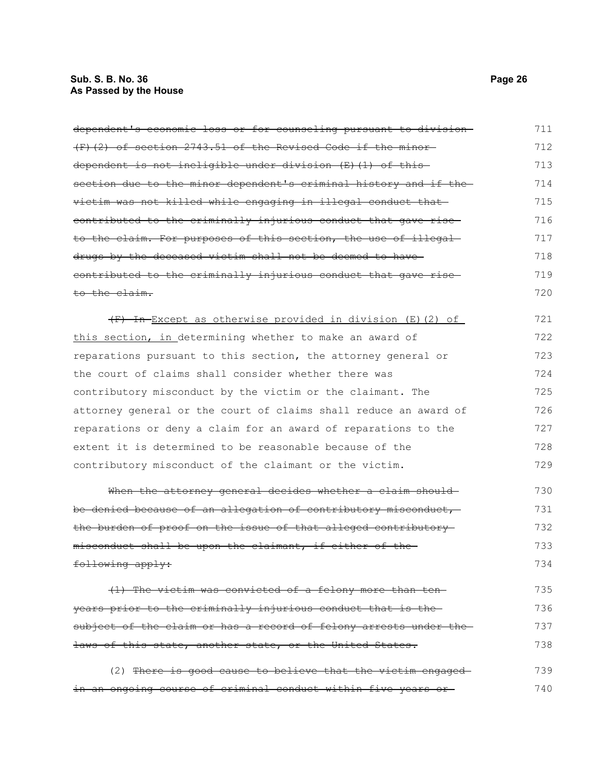#### **Sub. S. B. No. 36 Page 26 As Passed by the House**

dependent's economic loss or for counseling pursuant to division (F)(2) of section 2743.51 of the Revised Code if the minor dependent is not ineligible under division (E)(1) of this section due to the minor dependent's criminal history and if the victim was not killed while engaging in illegal conduct that contributed to the criminally injurious conduct that gave rise to the claim. For purposes of this section, the use of illegaldrugs by the deceased victim shall not be deemed to have contributed to the criminally injurious conduct that gave rise to the claim.  $(F)$  In-Except as otherwise provided in division (E)(2) of this section, in determining whether to make an award of reparations pursuant to this section, the attorney general or the court of claims shall consider whether there was contributory misconduct by the victim or the claimant. The attorney general or the court of claims shall reduce an award of reparations or deny a claim for an award of reparations to the extent it is determined to be reasonable because of the contributory misconduct of the claimant or the victim. When the attorney general decides whether a claim shouldbe denied because of an allegation of contributory misconduct, the burden of proof on the issue of that alleged contributory misconduct shall be upon the claimant, if either of the following apply: (1) The victim was convicted of a felony more than ten years prior to the criminally injurious conduct that is the subject of the claim or has a record of felony arrests under the laws of this state, another state, or the United States. (2) There is good cause to believe that the victim engaged in an ongoing course of criminal conduct within five years or 711 712 713 714 715 716 717 718 719 720 721 722 723 724 725 726 727 728 729 730 731 732 733 734 735 736 737 738 739 740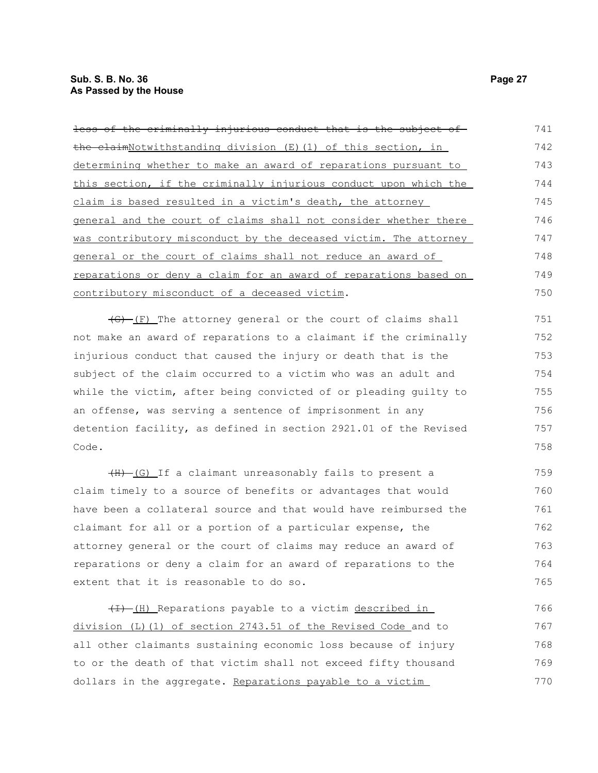less of the criminally injurious conduct that is the subject of the claimNotwithstanding division  $(E)$  (1) of this section, in determining whether to make an award of reparations pursuant to this section, if the criminally injurious conduct upon which the claim is based resulted in a victim's death, the attorney general and the court of claims shall not consider whether there was contributory misconduct by the deceased victim. The attorney general or the court of claims shall not reduce an award of reparations or deny a claim for an award of reparations based on contributory misconduct of a deceased victim. 741 742 743 744 745 746 747 748 749 750

 $\overline{(G)}$  (F) The attorney general or the court of claims shall not make an award of reparations to a claimant if the criminally injurious conduct that caused the injury or death that is the subject of the claim occurred to a victim who was an adult and while the victim, after being convicted of or pleading guilty to an offense, was serving a sentence of imprisonment in any detention facility, as defined in section 2921.01 of the Revised Code. 751 752 753 754 755 756 757 758

(H) (G) If a claimant unreasonably fails to present a claim timely to a source of benefits or advantages that would have been a collateral source and that would have reimbursed the claimant for all or a portion of a particular expense, the attorney general or the court of claims may reduce an award of reparations or deny a claim for an award of reparations to the extent that it is reasonable to do so.

(I) (H) Reparations payable to a victim described in division (L)(1) of section 2743.51 of the Revised Code and to all other claimants sustaining economic loss because of injury to or the death of that victim shall not exceed fifty thousand dollars in the aggregate. Reparations payable to a victim 766 767 768 769 770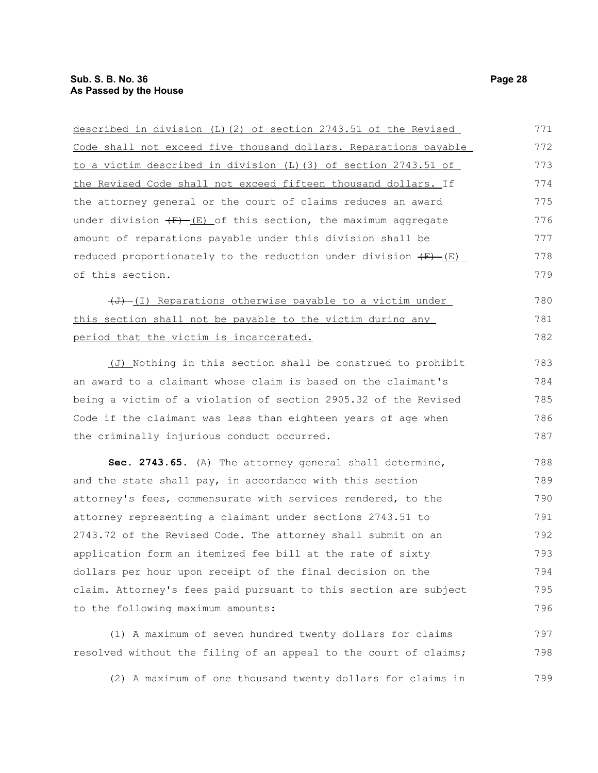| described in division (L)(2) of section 2743.51 of the Revised             | 771 |
|----------------------------------------------------------------------------|-----|
| Code shall not exceed five thousand dollars. Reparations payable           | 772 |
| to a victim described in division (L) (3) of section 2743.51 of            | 773 |
| the Revised Code shall not exceed fifteen thousand dollars. If             | 774 |
| the attorney general or the court of claims reduces an award               | 775 |
| under division $(F)$ (E) of this section, the maximum aggregate            | 776 |
| amount of reparations payable under this division shall be                 | 777 |
| reduced proportionately to the reduction under division $\overline{f}$ (E) | 778 |
| of this section.                                                           | 779 |
| (J) (I) Reparations otherwise payable to a victim under                    | 780 |
| this section shall not be payable to the victim during any                 | 781 |
| period that the victim is incarcerated.                                    | 782 |
| (J) Nothing in this section shall be construed to prohibit                 | 783 |
| an award to a claimant whose claim is based on the claimant's              | 784 |
| being a victim of a violation of section 2905.32 of the Revised            | 785 |
| Code if the claimant was less than eighteen years of age when              | 786 |
| the criminally injurious conduct occurred.                                 | 787 |
| Sec. 2743.65. (A) The attorney general shall determine,                    | 788 |
| and the state shall pay, in accordance with this section                   | 789 |
| attorney's fees, commensurate with services rendered, to the               | 790 |
| attorney representing a claimant under sections 2743.51 to                 | 791 |
| 2743.72 of the Revised Code. The attorney shall submit on an               | 792 |
| application form an itemized fee bill at the rate of sixty                 | 793 |
| dollars per hour upon receipt of the final decision on the                 | 794 |
| claim. Attorney's fees paid pursuant to this section are subject           | 795 |
| to the following maximum amounts:                                          | 796 |
| (1) A maximum of seven hundred twenty dollars for claims                   | 797 |
| resolved without the filing of an appeal to the court of claims;           | 798 |

(2) A maximum of one thousand twenty dollars for claims in 799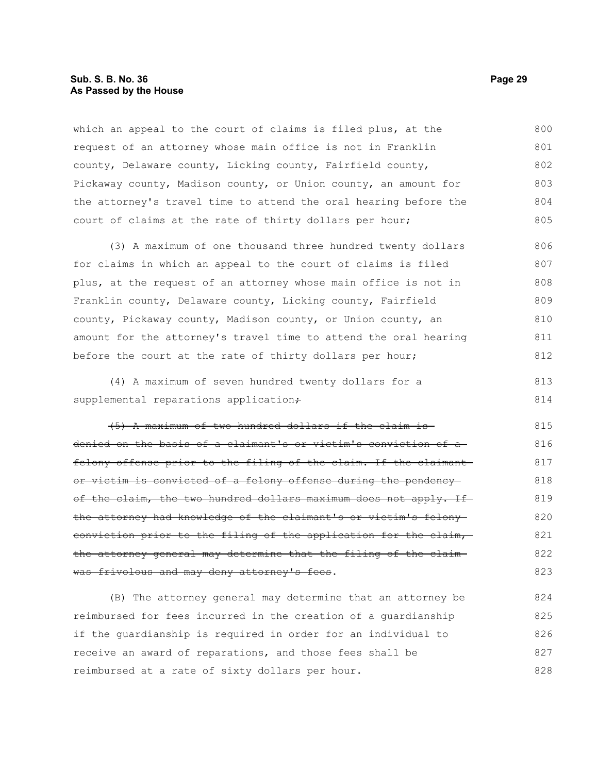#### **Sub. S. B. No. 36 Page 29 As Passed by the House**

which an appeal to the court of claims is filed plus, at the request of an attorney whose main office is not in Franklin county, Delaware county, Licking county, Fairfield county, Pickaway county, Madison county, or Union county, an amount for the attorney's travel time to attend the oral hearing before the court of claims at the rate of thirty dollars per hour; 800 801 802 803 804 805

(3) A maximum of one thousand three hundred twenty dollars for claims in which an appeal to the court of claims is filed plus, at the request of an attorney whose main office is not in Franklin county, Delaware county, Licking county, Fairfield county, Pickaway county, Madison county, or Union county, an amount for the attorney's travel time to attend the oral hearing before the court at the rate of thirty dollars per hour; 806 807 808 809 810 811 812

(4) A maximum of seven hundred twenty dollars for a supplemental reparations application+ 813 814

(5) A maximum of two hundred dollars if the claim is denied on the basis of a claimant's or victim's conviction of a felony offense prior to the filing of the claim. If the claimant or victim is convicted of a felony offense during the pendency of the claim, the two hundred dollars maximum does not apply. If the attorney had knowledge of the claimant's or victim's felony conviction prior to the filing of the application for the claim, the attorney general may determine that the filing of the claim was frivolous and may deny attorney's fees. 815 816 817 818 819 820 821 822 823

(B) The attorney general may determine that an attorney be reimbursed for fees incurred in the creation of a guardianship if the guardianship is required in order for an individual to receive an award of reparations, and those fees shall be reimbursed at a rate of sixty dollars per hour. 824 825 826 827 828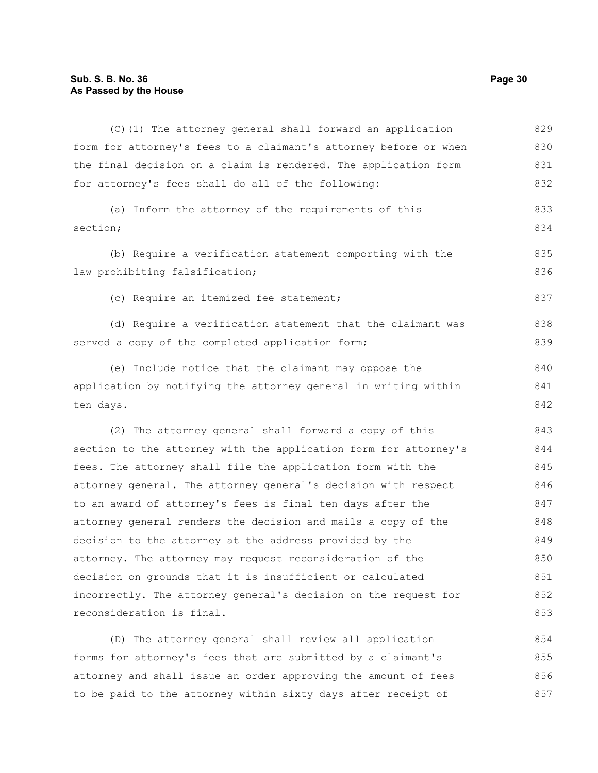| (C) (1) The attorney general shall forward an application        | 829 |
|------------------------------------------------------------------|-----|
| form for attorney's fees to a claimant's attorney before or when | 830 |
| the final decision on a claim is rendered. The application form  | 831 |
| for attorney's fees shall do all of the following:               | 832 |
| (a) Inform the attorney of the requirements of this              | 833 |
| section;                                                         | 834 |
| (b) Require a verification statement comporting with the         | 835 |
| law prohibiting falsification;                                   | 836 |
|                                                                  |     |
| (c) Require an itemized fee statement;                           | 837 |
| (d) Require a verification statement that the claimant was       | 838 |
| served a copy of the completed application form;                 | 839 |
| (e) Include notice that the claimant may oppose the              | 840 |
| application by notifying the attorney general in writing within  | 841 |
| ten days.                                                        | 842 |
| (2) The attorney general shall forward a copy of this            | 843 |
| section to the attorney with the application form for attorney's | 844 |
| fees. The attorney shall file the application form with the      | 845 |
| attorney general. The attorney general's decision with respect   | 846 |
| to an award of attorney's fees is final ten days after the       | 847 |
| attorney general renders the decision and mails a copy of the    | 848 |
| decision to the attorney at the address provided by the          | 849 |
| attorney. The attorney may request reconsideration of the        | 850 |
| decision on grounds that it is insufficient or calculated        | 851 |
| incorrectly. The attorney general's decision on the request for  | 852 |
| reconsideration is final.                                        | 853 |
| (D) The attorney general shall review all application            | 854 |
| forms for attorney's fees that are submitted by a claimant's     | 855 |
| attorney and shall issue an order approving the amount of fees   | 856 |
| to be paid to the attorney within sixty days after receipt of    | 857 |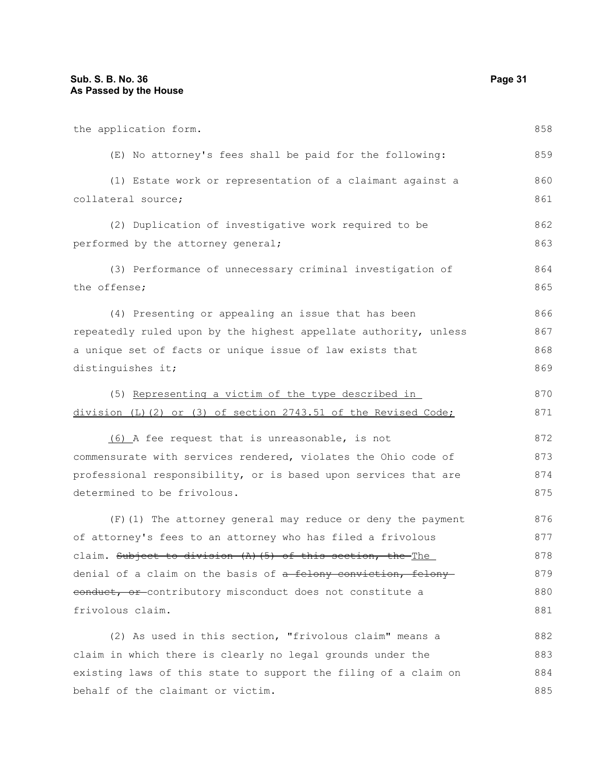| the application form.                                            | 858 |
|------------------------------------------------------------------|-----|
| (E) No attorney's fees shall be paid for the following:          | 859 |
| (1) Estate work or representation of a claimant against a        | 860 |
| collateral source;                                               | 861 |
| (2) Duplication of investigative work required to be             | 862 |
| performed by the attorney general;                               | 863 |
| (3) Performance of unnecessary criminal investigation of         | 864 |
| the offense;                                                     | 865 |
| (4) Presenting or appealing an issue that has been               | 866 |
| repeatedly ruled upon by the highest appellate authority, unless | 867 |
| a unique set of facts or unique issue of law exists that         | 868 |
| distinguishes it;                                                | 869 |
| (5) Representing a victim of the type described in               | 870 |
| division (L) (2) or (3) of section 2743.51 of the Revised Code;  | 871 |
| (6) A fee request that is unreasonable, is not                   | 872 |
| commensurate with services rendered, violates the Ohio code of   | 873 |
| professional responsibility, or is based upon services that are  | 874 |
| determined to be frivolous.                                      | 875 |
| (F) (1) The attorney general may reduce or deny the payment      | 876 |
| of attorney's fees to an attorney who has filed a frivolous      | 877 |
| claim. Subject to division (A) (5) of this section, the The      | 878 |
| denial of a claim on the basis of a felony conviction, felony    | 879 |
| eonduct, or contributory misconduct does not constitute a        | 880 |
| frivolous claim.                                                 | 881 |
| (2) As used in this section, "frivolous claim" means a           | 882 |
| claim in which there is clearly no legal grounds under the       | 883 |
| existing laws of this state to support the filing of a claim on  | 884 |
| behalf of the claimant or victim.                                | 885 |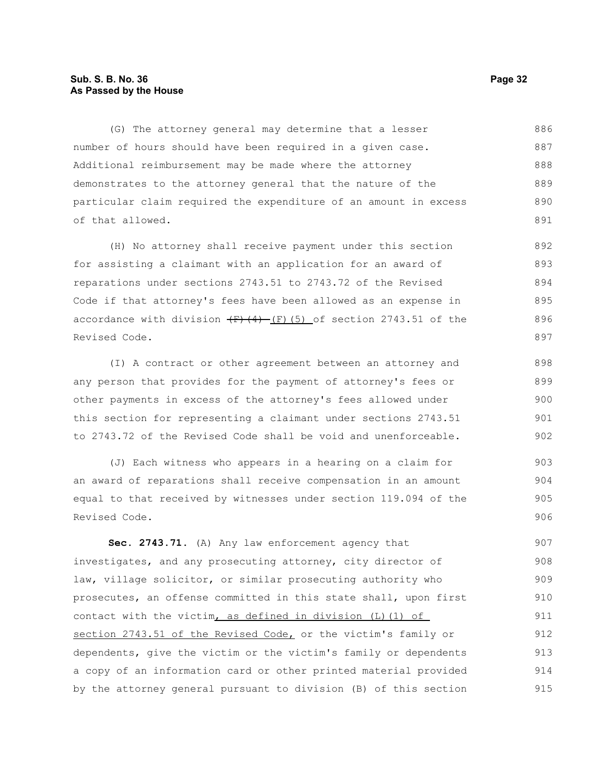#### **Sub. S. B. No. 36 Page 32 As Passed by the House**

(G) The attorney general may determine that a lesser number of hours should have been required in a given case. Additional reimbursement may be made where the attorney demonstrates to the attorney general that the nature of the particular claim required the expenditure of an amount in excess of that allowed. 886 887 888 889 890 891

(H) No attorney shall receive payment under this section for assisting a claimant with an application for an award of reparations under sections 2743.51 to 2743.72 of the Revised Code if that attorney's fees have been allowed as an expense in accordance with division  $\overline{F}(4) - F(5)$  of section 2743.51 of the Revised Code. 892 893 894 895 896 897

(I) A contract or other agreement between an attorney and any person that provides for the payment of attorney's fees or other payments in excess of the attorney's fees allowed under this section for representing a claimant under sections 2743.51 to 2743.72 of the Revised Code shall be void and unenforceable.

(J) Each witness who appears in a hearing on a claim for an award of reparations shall receive compensation in an amount equal to that received by witnesses under section 119.094 of the Revised Code. 903 904 905 906

**Sec. 2743.71.** (A) Any law enforcement agency that investigates, and any prosecuting attorney, city director of law, village solicitor, or similar prosecuting authority who prosecutes, an offense committed in this state shall, upon first contact with the victim, as defined in division  $(L)$  (1) of section 2743.51 of the Revised Code, or the victim's family or dependents, give the victim or the victim's family or dependents a copy of an information card or other printed material provided by the attorney general pursuant to division (B) of this section 907 908 909 910 911 912 913 914 915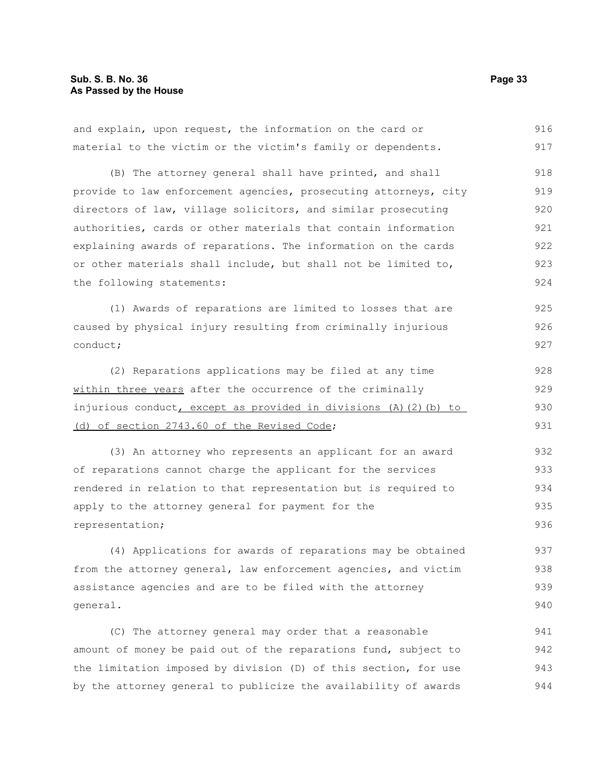and explain, upon request, the information on the card or material to the victim or the victim's family or dependents. (B) The attorney general shall have printed, and shall provide to law enforcement agencies, prosecuting attorneys, city directors of law, village solicitors, and similar prosecuting authorities, cards or other materials that contain information explaining awards of reparations. The information on the cards or other materials shall include, but shall not be limited to, the following statements: (1) Awards of reparations are limited to losses that are caused by physical injury resulting from criminally injurious conduct; (2) Reparations applications may be filed at any time within three years after the occurrence of the criminally injurious conduct, except as provided in divisions  $(A)$   $(2)$   $(b)$  to (d) of section 2743.60 of the Revised Code; (3) An attorney who represents an applicant for an award of reparations cannot charge the applicant for the services rendered in relation to that representation but is required to apply to the attorney general for payment for the representation; (4) Applications for awards of reparations may be obtained from the attorney general, law enforcement agencies, and victim assistance agencies and are to be filed with the attorney general. 916 917 918 919 920 921 922 923 924 925 926 927 928 929 930 931 932 933 934 935 936 937 938 939 940

(C) The attorney general may order that a reasonable amount of money be paid out of the reparations fund, subject to the limitation imposed by division (D) of this section, for use by the attorney general to publicize the availability of awards 941 942 943 944